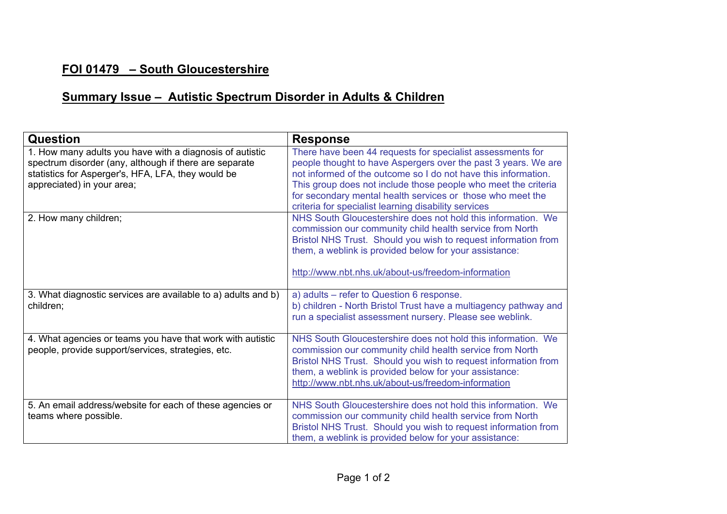## **FOI 01479 – South Gloucestershire**

## **Summary Issue – Autistic Spectrum Disorder in Adults & Children**

| Question                                                                                                                                                                                               | <b>Response</b>                                                                                                                                                                                                                                                                                                                                                                        |
|--------------------------------------------------------------------------------------------------------------------------------------------------------------------------------------------------------|----------------------------------------------------------------------------------------------------------------------------------------------------------------------------------------------------------------------------------------------------------------------------------------------------------------------------------------------------------------------------------------|
| 1. How many adults you have with a diagnosis of autistic<br>spectrum disorder (any, although if there are separate<br>statistics for Asperger's, HFA, LFA, they would be<br>appreciated) in your area; | There have been 44 requests for specialist assessments for<br>people thought to have Aspergers over the past 3 years. We are<br>not informed of the outcome so I do not have this information.<br>This group does not include those people who meet the criteria<br>for secondary mental health services or those who meet the<br>criteria for specialist learning disability services |
| 2. How many children;                                                                                                                                                                                  | NHS South Gloucestershire does not hold this information. We<br>commission our community child health service from North<br>Bristol NHS Trust. Should you wish to request information from<br>them, a weblink is provided below for your assistance:<br>http://www.nbt.nhs.uk/about-us/freedom-information                                                                             |
| 3. What diagnostic services are available to a) adults and b)<br>children;                                                                                                                             | a) adults – refer to Question 6 response.<br>b) children - North Bristol Trust have a multiagency pathway and<br>run a specialist assessment nursery. Please see weblink.                                                                                                                                                                                                              |
| 4. What agencies or teams you have that work with autistic<br>people, provide support/services, strategies, etc.                                                                                       | NHS South Gloucestershire does not hold this information. We<br>commission our community child health service from North<br>Bristol NHS Trust. Should you wish to request information from<br>them, a weblink is provided below for your assistance:<br>http://www.nbt.nhs.uk/about-us/freedom-information                                                                             |
| 5. An email address/website for each of these agencies or<br>teams where possible.                                                                                                                     | NHS South Gloucestershire does not hold this information. We<br>commission our community child health service from North<br>Bristol NHS Trust. Should you wish to request information from<br>them, a weblink is provided below for your assistance:                                                                                                                                   |